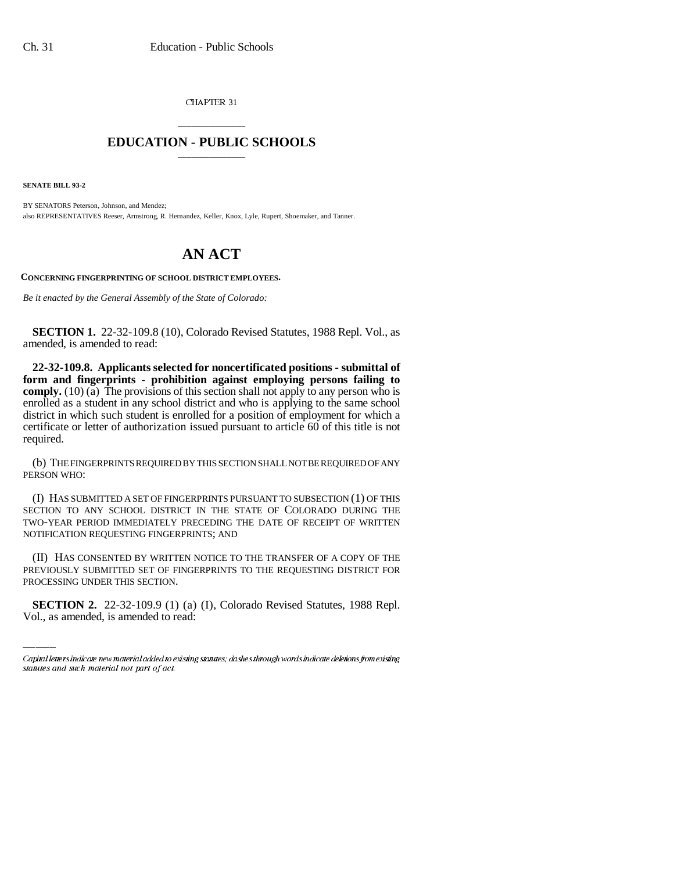CHAPTER 31

## \_\_\_\_\_\_\_\_\_\_\_\_\_\_\_ **EDUCATION - PUBLIC SCHOOLS** \_\_\_\_\_\_\_\_\_\_\_\_\_\_\_

**SENATE BILL 93-2**

BY SENATORS Peterson, Johnson, and Mendez; also REPRESENTATIVES Reeser, Armstrong, R. Hernandez, Keller, Knox, Lyle, Rupert, Shoemaker, and Tanner.

## **AN ACT**

**CONCERNING FINGERPRINTING OF SCHOOL DISTRICT EMPLOYEES.**

*Be it enacted by the General Assembly of the State of Colorado:*

**SECTION 1.** 22-32-109.8 (10), Colorado Revised Statutes, 1988 Repl. Vol., as amended, is amended to read:

**22-32-109.8. Applicants selected for noncertificated positions - submittal of form and fingerprints - prohibition against employing persons failing to comply.** (10) (a) The provisions of this section shall not apply to any person who is enrolled as a student in any school district and who is applying to the same school district in which such student is enrolled for a position of employment for which a certificate or letter of authorization issued pursuant to article 60 of this title is not required.

(b) THE FINGERPRINTS REQUIRED BY THIS SECTION SHALL NOT BE REQUIRED OF ANY PERSON WHO:

(I) HAS SUBMITTED A SET OF FINGERPRINTS PURSUANT TO SUBSECTION (1) OF THIS SECTION TO ANY SCHOOL DISTRICT IN THE STATE OF COLORADO DURING THE TWO-YEAR PERIOD IMMEDIATELY PRECEDING THE DATE OF RECEIPT OF WRITTEN NOTIFICATION REQUESTING FINGERPRINTS; AND

PREVIOUSLY SUBMITTED SET OF FINGERPRINTS TO THE REQUESTING DISTRICT FOR (II) HAS CONSENTED BY WRITTEN NOTICE TO THE TRANSFER OF A COPY OF THE PROCESSING UNDER THIS SECTION.

**SECTION 2.** 22-32-109.9 (1) (a) (I), Colorado Revised Statutes, 1988 Repl. Vol., as amended, is amended to read:

Capital letters indicate new material added to existing statutes; dashes through words indicate deletions from existing statutes and such material not part of act.